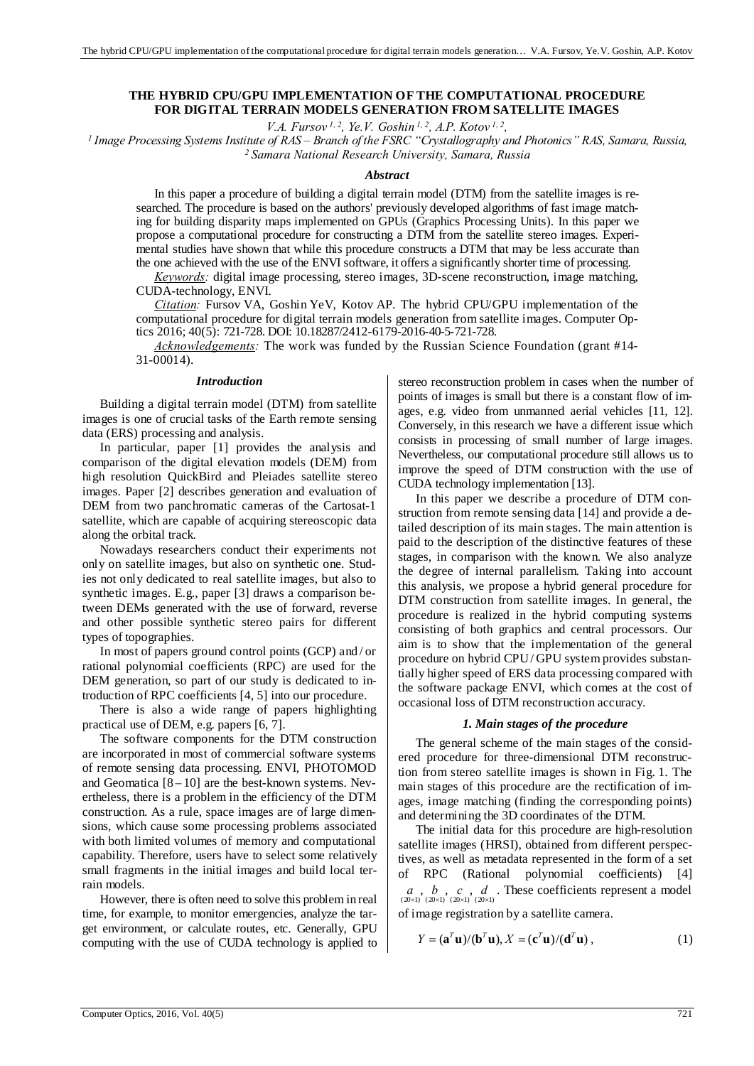## **THE HYBRID CPU/GPU IMPLEMENTATION OF THE COMPUTATIONAL PROCEDURE FOR DIGITAL TERRAIN MODELS GENERATION FROM SATELLITE IMAGES**

V.A. Fursov<sup>1, 2</sup>, Ye.V. Goshin<sup>1, 2</sup>, A.P. Kotov<sup>1, 2</sup>,<br>Image Processing Systems Institute of RAS – Branch of the FSRC "Crystallography and Photonics" RAS, Samara, Russia,<br><sup>2</sup> Samara National Research University, Samara,

#### *Abstract*

In this paper a procedure of building a digital terrain model (DTM) from the satellite images is researched. The procedure is based on the authors' previously developed algorithms of fast image matching for building disparity maps implemented on GPUs (Graphics Processing Units). In this paper we propose a computational procedure for constructing a DTM from the satellite stereo images. Experimental studies have shown that while this procedure constructs a DTM that may be less accurate than the one achieved with the use of the ENVI software, it offers a significantly shorter time of processing.

*Keywords:* digital image processing, stereo images, 3D-scene reconstruction, image matching, CUDA-technology, ENVI.

*Citation:* Fursov VA, Goshin YeV, Kotov AP. The hybrid CPU/GPU implementation of the computational procedure for digital terrain models generation from satellite images. Computer Optics 2016; 40(5): 721-728. DOI: 10.18287/2412-6179-2016-40-5-721-728.

*Acknowledgements:* The work was funded by the Russian Science Foundation (grant #14- 31-00014).

#### *Introduction*

Building a digital terrain model (DTM) from satellite images is one of crucial tasks of the Earth remote sensing data (ERS) processing and analysis.

In particular, paper [1] provides the analysis and comparison of the digital elevation models (DEM) from high resolution QuickBird and Pleiades satellite stereo images. Paper [2] describes generation and evaluation of DEM from two panchromatic cameras of the Cartosat-1 satellite, which are capable of acquiring stereoscopic data along the orbital track.

Nowadays researchers conduct their experiments not only on satellite images, but also on synthetic one. Studies not only dedicated to real satellite images, but also to synthetic images. E.g., paper [3] draws a comparison between DEMs generated with the use of forward, reverse and other possible synthetic stereo pairs for different types of topographies.

In most of papers ground control points (GCP) and / or rational polynomial coefficients (RPC) are used for the DEM generation, so part of our study is dedicated to introduction of RPC coefficients [4, 5] into our procedure.

There is also a wide range of papers highlighting practical use of DEM, e.g. papers [6, 7].

The software components for the DTM construction are incorporated in most of commercial software systems of remote sensing data processing. ENVI, PHOTOMOD and Geomatica  $[8 - 10]$  are the best-known systems. Nevertheless, there is a problem in the efficiency of the DTM construction. As a rule, space images are of large dimensions, which cause some processing problems associated with both limited volumes of memory and computational capability. Therefore, users have to select some relatively small fragments in the initial images and build local terrain models.

However, there is often need to solve this problem in real time, for example, to monitor emergencies, analyze the target environment, or calculate routes, etc. Generally, GPU computing with the use of CUDA technology is applied to stereo reconstruction problem in cases when the number of points of images is small but there is a constant flow of images, e.g. video from unmanned aerial vehicles [11, 12]. Conversely, in this research we have a different issue which consists in processing of small number of large images. Nevertheless, our computational procedure still allows us to improve the speed of DTM construction with the use of CUDA technology implementation [13].

In this paper we describe a procedure of DTM construction from remote sensing data [14] and provide a detailed description of its main stages. The main attention is paid to the description of the distinctive features of these stages, in comparison with the known. We also analyze the degree of internal parallelism. Taking into account this analysis, we propose a hybrid general procedure for DTM construction from satellite images. In general, the procedure is realized in the hybrid computing systems consisting of both graphics and central processors. Our aim is to show that the implementation of the general procedure on hybrid CPU/ GPU system provides substantially higher speed of ERS data processing compared with the software package ENVI, which comes at the cost of occasional loss of DTM reconstruction accuracy.

#### *1. Main stages of the procedure*

The general scheme of the main stages of the considered procedure for three-dimensional DTM reconstruction from stereo satellite images is shown in Fig. 1. The main stages of this procedure are the rectification of images, image matching (finding the corresponding points) and determining the 3D coordinates of the DTM.

The initial data for this procedure are high-resolution satellite images (HRSI), obtained from different perspectives, as well as metadata represented in the form of a set of RPC (Rational polynomial coefficients) [4]  $(a, b, c, d$ . These coefficients represent a model  $\frac{(20\times1)}{(20\times1)}$  (20 $\times$ 1) of image registration by a satellite camera.

$$
Y = (\mathbf{a}^T \mathbf{u})/(\mathbf{b}^T \mathbf{u}), X = (\mathbf{c}^T \mathbf{u})/(\mathbf{d}^T \mathbf{u}),
$$
\n(1)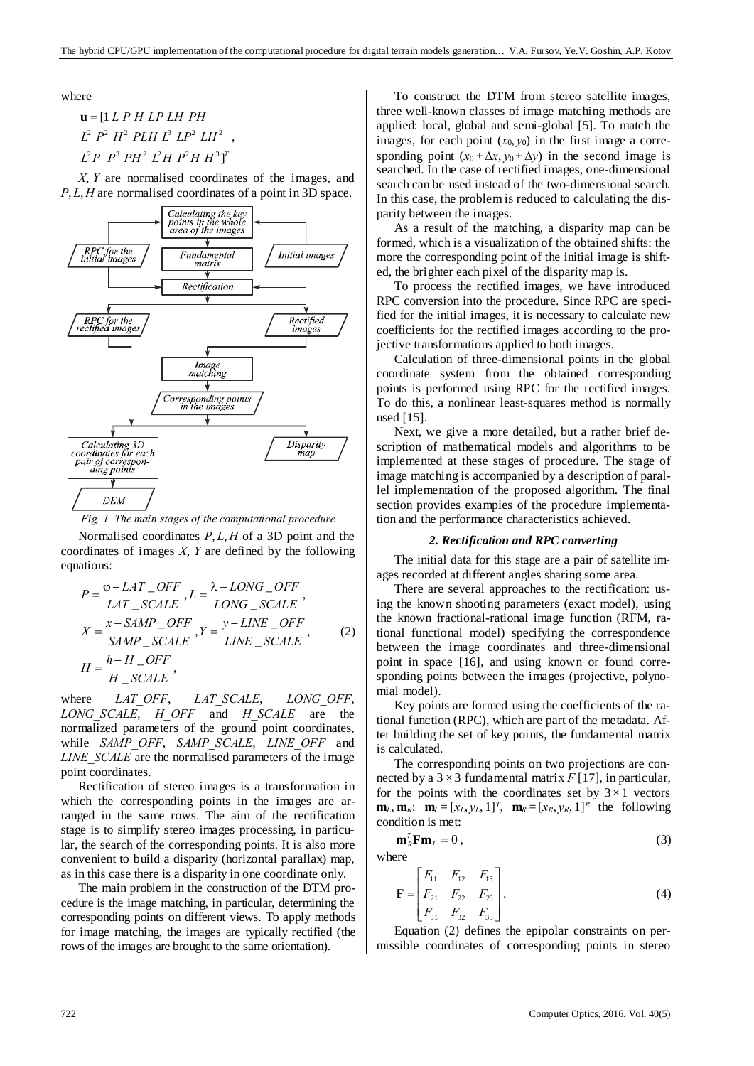where  $L^2$   $P^2$   $H^2$   $PLH$   $L^3$   $LP^2$   $LH^2$  ,  $L^2P$   $P^3$   $PH^2$   $L^2H$   $P^2H$   $H^3$ ]<sup>T</sup> [1 *L P H LP LH PH* **u**

*X*, *Y* are normalised coordinates of the images, and *P*, *L*, *H* are normalised coordinates of a point in 3D space.



*Fig. 1. The main stages of the computational procedure* 

Normalised coordinates *P*, *L*, *H* of a 3D point and the coordinates of images *X*, *Y* are defined by the following equations:

$$
P = \frac{\varphi - LAT\_OFF}{LAT\_SCALE}, L = \frac{\lambda - LONG\_OFF}{LONG\_SCALE},
$$
  
\n
$$
X = \frac{x - SAMPLE\_OFF}{SAMP\_SCALE}, Y = \frac{y - LINE\_OFF}{LINE\_SCALE},
$$
  
\n
$$
H = \frac{h - H\_OFF}{H\_SCALE},
$$
 (2)

where *LAT* OFF, *LAT* SCALE, *LONG* OFF, *LONG\_SCALE*, *H\_OFF* and *H\_SCALE* are the normalized parameters of the ground point coordinates, while *SAMP\_OFF*, *SAMP\_SCALE*, *LINE\_OFF* and *LINE\_SCALE* are the normalised parameters of the image point coordinates.

Rectification of stereo images is a transformation in which the corresponding points in the images are arranged in the same rows. The aim of the rectification stage is to simplify stereo images processing, in particular, the search of the corresponding points. It is also more convenient to build a disparity (horizontal parallax) map, as in this case there is a disparity in one coordinate only.

The main problem in the construction of the DTM procedure is the image matching, in particular, determining the corresponding points on different views. To apply methods for image matching, the images are typically rectified (the rows of the images are brought to the same orientation).

To construct the DTM from stereo satellite images, three well-known classes of image matching methods are applied: local, global and semi-global [5]. To match the images, for each point  $(x_0, y_0)$  in the first image a corresponding point  $(x_0 + \Delta x, y_0 + \Delta y)$  in the second image is searched. In the case of rectified images, one-dimensional search can be used instead of the two-dimensional search. In this case, the problem is reduced to calculating the disparity between the images.

As a result of the matching, a disparity map can be formed, which is a visualization of the obtained shifts: the more the corresponding point of the initial image is shifted, the brighter each pixel of the disparity map is.

To process the rectified images, we have introduced RPC conversion into the procedure. Since RPC are specified for the initial images, it is necessary to calculate new coefficients for the rectified images according to the projective transformations applied to both images.

Calculation of three-dimensional points in the global coordinate system from the obtained corresponding points is performed using RPC for the rectified images. To do this, a nonlinear least-squares method is normally used [15].

Next, we give a more detailed, but a rather brief description of mathematical models and algorithms to be implemented at these stages of procedure. The stage of image matching is accompanied by a description of parallel implementation of the proposed algorithm. The final section provides examples of the procedure implementation and the performance characteristics achieved.

### *2. Rectification and RPC converting*

The initial data for this stage are a pair of satellite images recorded at different angles sharing some area.

There are several approaches to the rectification: using the known shooting parameters (exact model), using the known fractional-rational image function (RFM, rational functional model) specifying the correspondence between the image coordinates and three-dimensional point in space [16], and using known or found corresponding points between the images (projective, polynomial model).

Key points are formed using the coefficients of the rational function (RPC), which are part of the metadata. After building the set of key points, the fundamental matrix is calculated.

The corresponding points on two projections are connected by a  $3 \times 3$  fundamental matrix *F* [17], in particular, for the points with the coordinates set by  $3 \times 1$  vectors  $\mathbf{m}_L$ ,  $\mathbf{m}_R$ :  $\mathbf{m}_L = [x_L, y_L, 1]^T$ ,  $\mathbf{m}_R = [x_R, y_R, 1]^R$  the following condition is met:

$$
\mathbf{m}_k^T \mathbf{F} \mathbf{m}_L = 0 \,, \tag{3}
$$

where

$$
\mathbf{F} = \begin{bmatrix} F_{11} & F_{12} & F_{13} \\ F_{21} & F_{22} & F_{23} \\ F_{31} & F_{32} & F_{33} \end{bmatrix} .
$$
 (4)

Equation (2) defines the epipolar constraints on permissible coordinates of corresponding points in stereo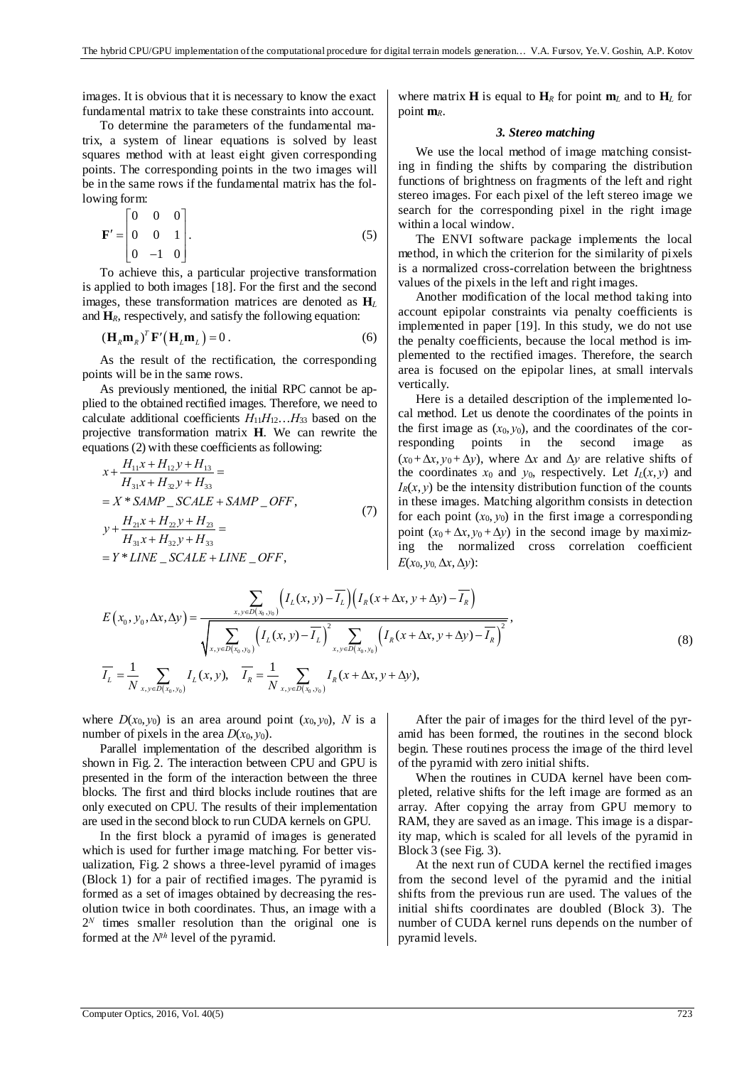images. It is obvious that it is necessary to know the exact fundamental matrix to take these constraints into account.

To determine the parameters of the fundamental matrix, a system of linear equations is solved by least squares method with at least eight given corresponding points. The corresponding points in the two images will be in the same rows if the fundamental matrix has the following form:

$$
\mathbf{F}' = \begin{bmatrix} 0 & 0 & 0 \\ 0 & 0 & 1 \\ 0 & -1 & 0 \end{bmatrix} . \tag{5}
$$

To achieve this, a particular projective transformation is applied to both images [18]. For the first and the second images, these transformation matrices are denoted as **H***<sup>L</sup>* and  $H_R$ , respectively, and satisfy the following equation:

$$
\left(\mathbf{H}_{R}\mathbf{m}_{R}\right)^{T}\mathbf{F}'\left(\mathbf{H}_{L}\mathbf{m}_{L}\right)=0\,.
$$

As the result of the rectification, the corresponding points will be in the same rows.

As previously mentioned, the initial RPC cannot be applied to the obtained rectified images. Therefore, we need to calculate additional coefficients *H*11*H*12…*H*33 based on the projective transformation matrix **H**. We can rewrite the equations (2) with these coefficients as following:

$$
x + \frac{H_{11}x + H_{12}y + H_{13}}{H_{31}x + H_{32}y + H_{33}} =
$$
  
=  $X * SAMP_SCALE + SAMP_CFF$ ,  
 $y + \frac{H_{21}x + H_{22}y + H_{33}}{H_{31}x + H_{32}y + H_{33}} =$   
=  $Y * LINE_SCALE + LINE_COFF$ , (7)

where matrix **H** is equal to  $H_R$  for point  $m_L$  and to  $H_L$  for point **m***R*.

## *3. Stereo matching*

We use the local method of image matching consisting in finding the shifts by comparing the distribution functions of brightness on fragments of the left and right stereo images. For each pixel of the left stereo image we search for the corresponding pixel in the right image within a local window.

The ENVI software package implements the local method, in which the criterion for the similarity of pixels is a normalized cross-correlation between the brightness values of the pixels in the left and right images.

Another modification of the local method taking into account epipolar constraints via penalty coefficients is implemented in paper [19]. In this study, we do not use the penalty coefficients, because the local method is implemented to the rectified images. Therefore, the search area is focused on the epipolar lines, at small intervals vertically.

Here is a detailed description of the implemented local method. Let us denote the coordinates of the points in the first image as  $(x_0, y_0)$ , and the coordinates of the corresponding points in the second image as  $(x_0 + \Delta x, y_0 + \Delta y)$ , where  $\Delta x$  and  $\Delta y$  are relative shifts of the coordinates  $x_0$  and  $y_0$ , respectively. Let  $I_L(x, y)$  and  $I_R(x, y)$  be the intensity distribution function of the counts in these images. Matching algorithm consists in detection for each point  $(x_0, y_0)$  in the first image a corresponding point  $(x_0 + \Delta x, y_0 + \Delta y)$  in the second image by maximizing the normalized cross correlation coefficient  $E(x_0, y_0, \Delta x, \Delta y)$ :

$$
E(x_0, y_0, \Delta x, \Delta y) = \frac{\sum_{x, y \in D(x_0, y_0)} \left( I_L(x, y) - \overline{I_L} \right) \left( I_R(x + \Delta x, y + \Delta y) - \overline{I_R} \right)}{\sqrt{\sum_{x, y \in D(x_0, y_0)} \left( I_L(x, y) - \overline{I_L} \right)^2 \sum_{x, y \in D(x_0, y_0)} \left( I_R(x + \Delta x, y + \Delta y) - \overline{I_R} \right)^2}},\tag{8}
$$

where  $D(x_0, y_0)$  is an area around point  $(x_0, y_0)$ , *N* is a number of pixels in the area  $D(x_0, y_0)$ .

Parallel implementation of the described algorithm is shown in Fig. 2. The interaction between CPU and GPU is presented in the form of the interaction between the three blocks. The first and third blocks include routines that are only executed on CPU. The results of their implementation are used in the second block to run CUDA kernels on GPU.

In the first block a pyramid of images is generated which is used for further image matching. For better visualization, Fig. 2 shows a three-level pyramid of images (Block 1) for a pair of rectified images. The pyramid is formed as a set of images obtained by decreasing the resolution twice in both coordinates. Thus, an image with a  $2^N$  times smaller resolution than the original one is formed at the *Nth* level of the pyramid.

After the pair of images for the third level of the pyramid has been formed, the routines in the second block begin. These routines process the image of the third level of the pyramid with zero initial shifts.

When the routines in CUDA kernel have been completed, relative shifts for the left image are formed as an array. After copying the array from GPU memory to RAM, they are saved as an image. This image is a disparity map, which is scaled for all levels of the pyramid in Block 3 (see Fig. 3).

At the next run of CUDA kernel the rectified images from the second level of the pyramid and the initial shifts from the previous run are used. The values of the initial shifts coordinates are doubled (Block 3). The number of CUDA kernel runs depends on the number of pyramid levels.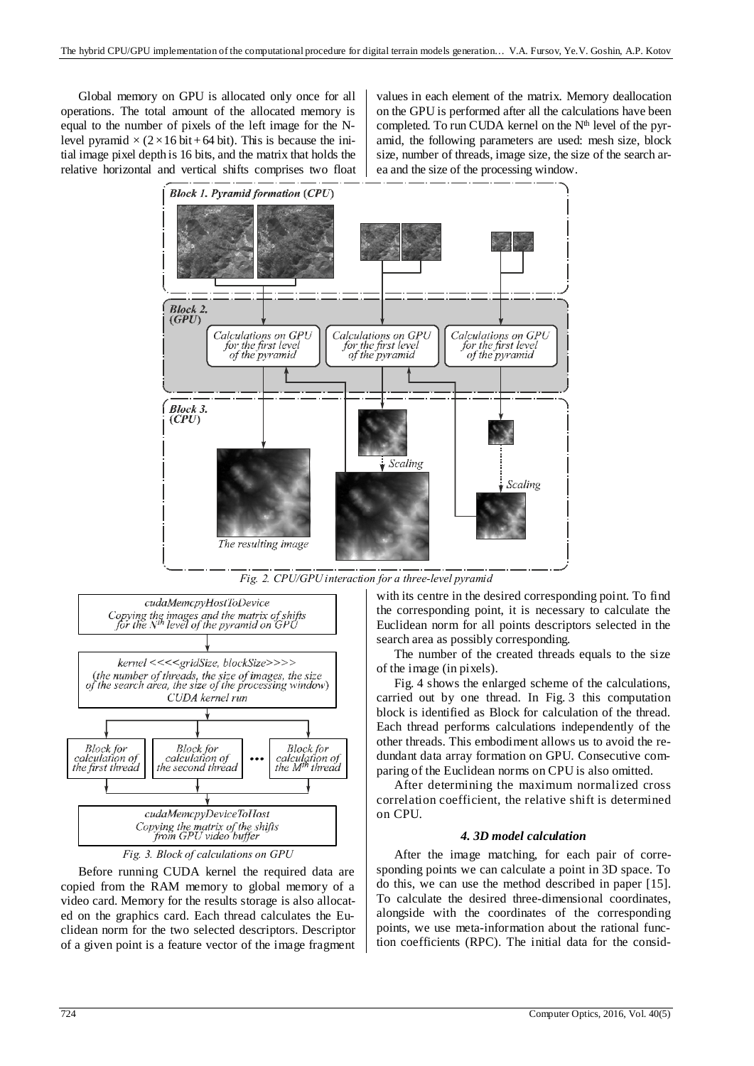Global memory on GPU is allocated only once for all operations. The total amount of the allocated memory is equal to the number of pixels of the left image for the Nlevel pyramid  $\times$  (2 × 16 bit + 64 bit). This is because the initial image pixel depth is 16 bits, and the matrix that holds the relative horizontal and vertical shifts comprises two float

values in each element of the matrix. Memory deallocation on the GPU is performed after all the calculations have been completed. To run CUDA kernel on the N<sup>th</sup> level of the pyramid, the following parameters are used: mesh size, block size, number of threads, image size, the size of the search area and the size of the processing window.







*Fig. 3. Block of calculations on GPU* 

Before running CUDA kernel the required data are copied from the RAM memory to global memory of a video card. Memory for the results storage is also allocated on the graphics card. Each thread calculates the Euclidean norm for the two selected descriptors. Descriptor of a given point is a feature vector of the image fragment with its centre in the desired corresponding point. To find the corresponding point, it is necessary to calculate the Euclidean norm for all points descriptors selected in the search area as possibly corresponding.

The number of the created threads equals to the size of the image (in pixels).

Fig. 4 shows the enlarged scheme of the calculations, carried out by one thread. In Fig. 3 this computation block is identified as Block for calculation of the thread. Each thread performs calculations independently of the other threads. This embodiment allows us to avoid the redundant data array formation on GPU. Consecutive comparing of the Euclidean norms on CPU is also omitted.

After determining the maximum normalized cross correlation coefficient, the relative shift is determined on CPU.

### *4. 3D model calculation*

After the image matching, for each pair of corresponding points we can calculate a point in 3D space. To do this, we can use the method described in paper [15]. To calculate the desired three-dimensional coordinates, alongside with the coordinates of the corresponding points, we use meta-information about the rational function coefficients (RPC). The initial data for the consid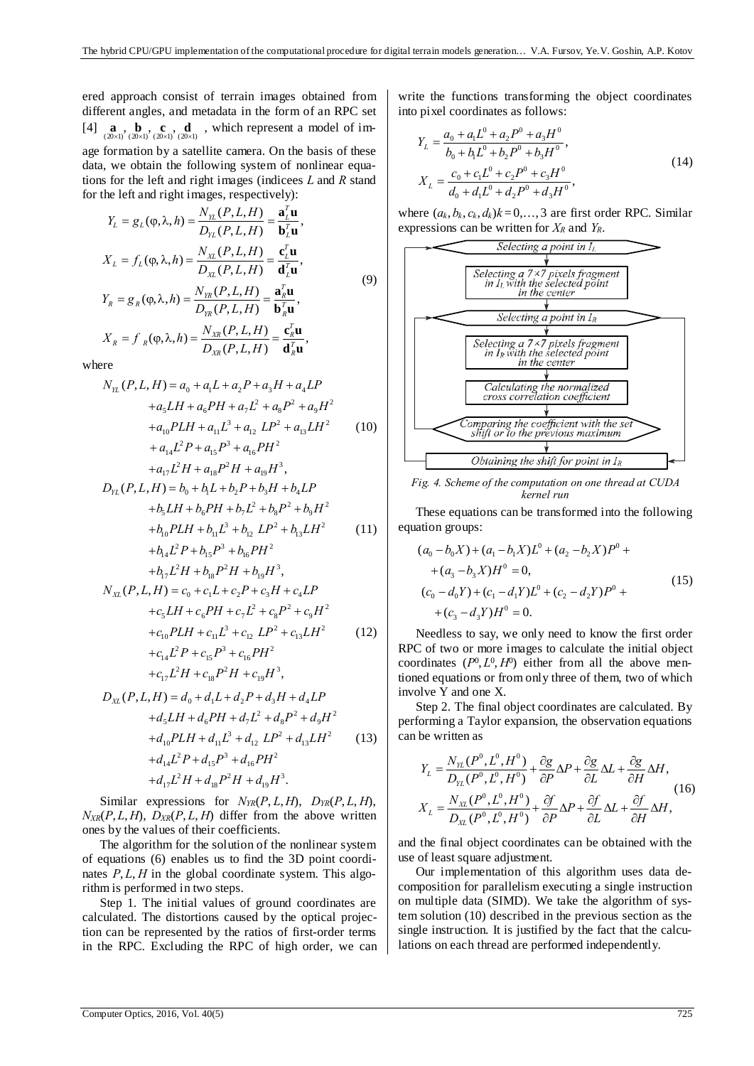ered approach consist of terrain images obtained from different angles, and metadata in the form of an RPC set [4]  $\mathbf{a}$ ,  $\mathbf{b}$ , **c**, **d**<sub>(20×1)</sub> (20×1) (20×1) which represent a model of image formation by a satellite camera. On the basis of these data, we obtain the following system of nonlinear equations for the left and right images (indicees *L* and *R* stand for the left and right images, respectively):

$$
Y_L = g_L(\varphi, \lambda, h) = \frac{N_{\gamma_L}(P, L, H)}{D_{\gamma_L}(P, L, H)} = \frac{\mathbf{a}_L^T \mathbf{u}}{\mathbf{b}_L^T \mathbf{u}},
$$
  

$$
X_L = f_L(\varphi, \lambda, h) = \frac{N_{\gamma_L}(P, L, H)}{D_{\gamma_L}(P, L, H)} = \frac{\mathbf{c}_L^T \mathbf{u}}{\mathbf{d}_L^T \mathbf{u}},
$$
(9)

$$
Y_R = g_R(\varphi, \lambda, h) = \frac{N_{\gamma R}(P, L, H)}{D_{\gamma R}(P, L, H)} = \frac{\mathbf{a}_R^T \mathbf{u}}{\mathbf{b}_R^T \mathbf{u}},
$$
  

$$
X_R = f_R(\varphi, \lambda, h) = \frac{N_{\gamma R}(P, L, H)}{D_{\gamma R}(P, L, H)} = \frac{\mathbf{c}_R^T \mathbf{u}}{\mathbf{d}_R^T \mathbf{u}},
$$

where

$$
N_{\gamma_L}(P, L, H) = a_0 + a_1L + a_2P + a_3H + a_4LP
$$
  
\n
$$
+a_5LH + a_6PH + a_1L^2 + a_8P^2 + a_9H^2
$$
  
\n
$$
+a_{10}PLH + a_{11}L^3 + a_{12}LP^2 + a_{13}LH^2
$$
 (10)  
\n
$$
+a_{14}L^2P + a_{15}P^3 + a_{16}PH^2
$$
  
\n
$$
+a_{17}L^2H + a_{18}P^2H + a_{19}H^3,
$$
  
\n
$$
D_{\gamma_L}(P, L, H) = b_0 + b_1L + b_2P + b_3H + b_4LP
$$
  
\n
$$
+b_5LH + b_6PH + b_7L^2 + b_8P^2 + b_9H^2
$$
  
\n
$$
+b_{10}PLH + b_{11}L^3 + b_{12}LP^2 + b_{13}LH^2
$$
 (11)  
\n
$$
+b_{14}L^2P + b_{15}P^3 + b_{16}PH^2
$$
  
\n
$$
+b_{17}L^2H + b_{18}P^2H + b_{19}H^3,
$$
  
\n
$$
N_{\chi_L}(P, L, H) = c_0 + c_1L + c_2P + c_3H + c_4LP
$$
  
\n
$$
+c_5LH + c_6PH + c_7L^2 + c_8P^2 + c_9H^2
$$
  
\n
$$
+c_{10}PLH + c_{11}L^3 + c_{12}LP^2 + c_{13}LH^2
$$
 (12)  
\n
$$
+c_{14}L^2P + c_{15}P^3 + c_{16}PH^2
$$
  
\n
$$
+c_{17}L^2H + c_{18}P^2H + c_{19}H^3,
$$
  
\n
$$
D_{\chi_L}(P, L, H) = d_0 + d_1L + d_2P + d_3H + d_4LP
$$
  
\n
$$
+d_3LH + d_6PH + d_7L^2 + d_8P^2 + d_9H^2
$$

 $+d_{17}L^2H + d_{18}P^2H + d_{19}H^3$ . Similar expressions for  $N_{TR}(P, L, H)$ ,  $D_{TR}(P, L, H)$ ,  $N_{XR}(P, L, H)$ ,  $D_{XR}(P, L, H)$  differ from the above written ones by the values of their coefficients.

The algorithm for the solution of the nonlinear system of equations (6) enables us to find the 3D point coordinates  $P, L, H$  in the global coordinate system. This algorithm is performed in two steps.

Step 1. The initial values of ground coordinates are calculated. The distortions caused by the optical projection can be represented by the ratios of first-order terms in the RPC. Excluding the RPC of high order, we can write the functions transforming the object coordinates into pixel coordinates as follows:

$$
Y_{L} = \frac{a_{0} + a_{1}L^{0} + a_{2}P^{0} + a_{3}H^{0}}{b_{0} + b_{1}L^{0} + b_{2}P^{0} + b_{3}H^{0}},
$$
  
\n
$$
X_{L} = \frac{c_{0} + c_{1}L^{0} + c_{2}P^{0} + c_{3}H^{0}}{d_{0} + d_{1}L^{0} + d_{2}P^{0} + d_{3}H^{0}},
$$
\n(14)

where  $(a_k, b_k, c_k, d_k)k = 0, \ldots, 3$  are first order RPC. Similar expressions can be written for  $X_R$  and  $Y_R$ .



*Fig. 4. Scheme of the computation on one thread at CUDA kernel run* 

These equations can be transformed into the following equation groups:

$$
(a_0 - b_0 X) + (a_1 - b_1 X)L^0 + (a_2 - b_2 X)P^0 ++ (a_3 - b_3 X)H^0 = 0,(c_0 - d_0 Y) + (c_1 - d_1 Y)L^0 + (c_2 - d_2 Y)P^0 ++ (c_3 - d_3 Y)H^0 = 0.
$$
 (15)

Needless to say, we only need to know the first order RPC of two or more images to calculate the initial object coordinates  $(P^0, L^0, H^0)$  either from all the above mentioned equations or from only three of them, two of which involve Y and one X.

Step 2. The final object coordinates are calculated. By performing a Taylor expansion, the observation equations can be written as

$$
Y_L = \frac{N_{\gamma_L}(P^0, L^0, H^0)}{D_{\gamma_L}(P^0, L^0, H^0)} + \frac{\partial g}{\partial P} \Delta P + \frac{\partial g}{\partial L} \Delta L + \frac{\partial g}{\partial H} \Delta H,
$$
  
\n
$$
X_L = \frac{N_{\gamma_L}(P^0, L^0, H^0)}{D_{\gamma_L}(P^0, L^0, H^0)} + \frac{\partial f}{\partial P} \Delta P + \frac{\partial f}{\partial L} \Delta L + \frac{\partial f}{\partial H} \Delta H,
$$
\n(16)

and the final object coordinates can be obtained with the use of least square adjustment.

Our implementation of this algorithm uses data decomposition for parallelism executing a single instruction on multiple data (SIMD). We take the algorithm of system solution (10) described in the previous section as the single instruction. It is justified by the fact that the calculations on each thread are performed independently.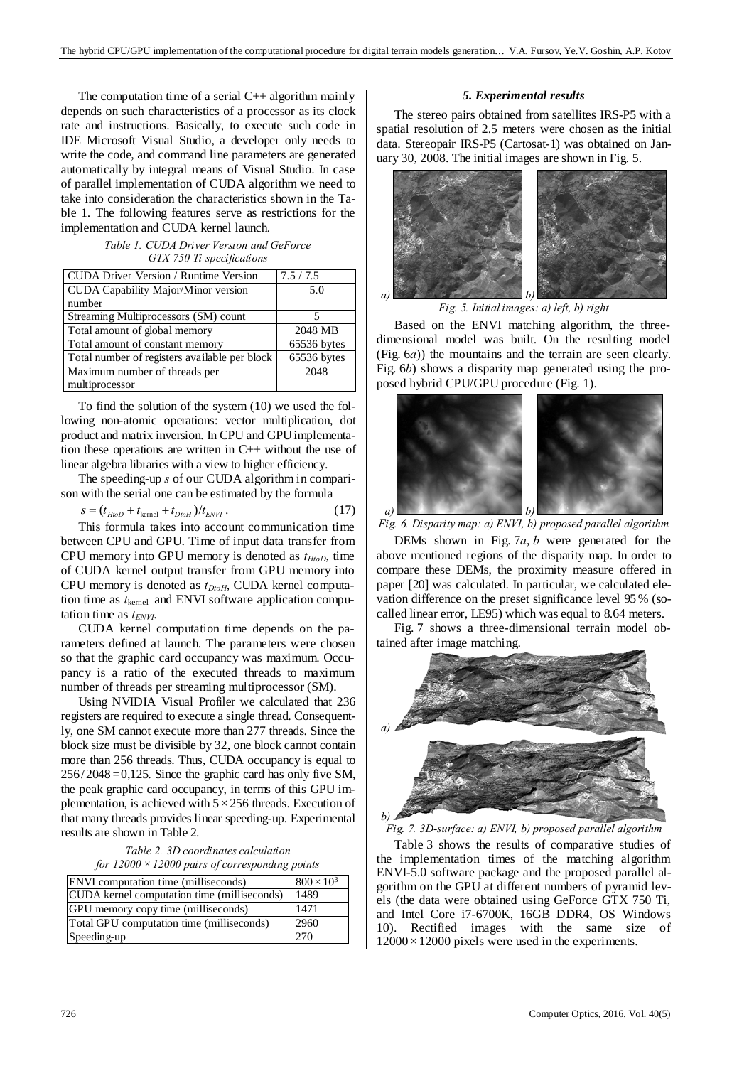The computation time of a serial  $C_{++}$  algorithm mainly depends on such characteristics of a processor as its clock rate and instructions. Basically, to execute such code in IDE Microsoft Visual Studio, a developer only needs to write the code, and command line parameters are generated automatically by integral means of Visual Studio. In case of parallel implementation of CUDA algorithm we need to take into consideration the characteristics shown in the Table 1. The following features serve as restrictions for the implementation and CUDA kernel launch.

*Table 1. CUDA Driver Version and GeForce GTX 750 Ti specifications* 

| <b>CUDA Driver Version / Runtime Version</b>  | 7.5/7.5     |
|-----------------------------------------------|-------------|
| <b>CUDA</b> Capability Major/Minor version    | 5.0         |
| number                                        |             |
| Streaming Multiprocessors (SM) count          | 5           |
| Total amount of global memory                 | 2048 MB     |
| Total amount of constant memory               | 65536 bytes |
| Total number of registers available per block | 65536 bytes |
| Maximum number of threads per                 | 2048        |
| multiprocessor                                |             |

To find the solution of the system (10) we used the following non-atomic operations: vector multiplication, dot product and matrix inversion. In CPU and GPU implementation these operations are written in C++ without the use of linear algebra libraries with a view to higher efficiency.

The speeding-up *s* of our CUDA algorithm in comparison with the serial one can be estimated by the formula

$$
s = (t_{HtoD} + t_{\text{kernel}} + t_{DtoH})/t_{ENVI} \,. \tag{17}
$$

This formula takes into account communication time between CPU and GPU. Time of input data transfer from CPU memory into GPU memory is denoted as  $t_{HtoD}$ , time of CUDA kernel output transfer from GPU memory into CPU memory is denoted as *tDtoH*, CUDA kernel computation time as *t*kernel and ENVI software application computation time as  $t_{ENVI}$ .

CUDA kernel computation time depends on the parameters defined at launch. The parameters were chosen so that the graphic card occupancy was maximum. Occupancy is a ratio of the executed threads to maximum number of threads per streaming multiprocessor (SM).

Using NVIDIA Visual Profiler we calculated that 236 registers are required to execute a single thread. Consequently, one SM cannot execute more than 277 threads. Since the block size must be divisible by 32, one block cannot contain more than 256 threads. Thus, CUDA occupancy is equal to 256/2048 =0,125. Since the graphic card has only five SM, the peak graphic card occupancy, in terms of this GPU implementation, is achieved with  $5 \times 256$  threads. Execution of that many threads provides linear speeding-up. Experimental results are shown in Table 2.

*Table 2. 3D coordinates calculation for 12000×12000 pairs of corresponding points* 

| ENVI computation time (milliseconds)        | $800 \times 10^{3}$ |
|---------------------------------------------|---------------------|
| CUDA kernel computation time (milliseconds) | 1489                |
| GPU memory copy time (milliseconds)         | 1471                |
| Total GPU computation time (milliseconds)   | 2960                |
| Speeding-up                                 | 270                 |

## *5. Experimental results*

The stereo pairs obtained from satellites IRS-P5 with a spatial resolution of 2.5 meters were chosen as the initial data. Stereopair IRS-P5 (Cartosat-1) was obtained on January 30, 2008. The initial images are shown in Fig. 5.



*Fig. 5. Initial images: a) left, b) right* 

Based on the ENVI matching algorithm, the threedimensional model was built. On the resulting model (Fig. 6*a*)) the mountains and the terrain are seen clearly. Fig. 6*b*) shows a disparity map generated using the proposed hybrid CPU/GPU procedure (Fig. 1).



*Fig. 6. Disparity map: a) ENVI, b) proposed parallel algorithm* 

DEMs shown in Fig. 7*a*, *b* were generated for the above mentioned regions of the disparity map. In order to compare these DEMs, the proximity measure offered in paper [20] was calculated. In particular, we calculated elevation difference on the preset significance level 95 % (socalled linear error, LE95) which was equal to 8.64 meters.

Fig. 7 shows a three-dimensional terrain model obtained after image matching.



*Fig. 7. 3D-surface: a) ENVI, b) proposed parallel algorithm* 

Table 3 shows the results of comparative studies of the implementation times of the matching algorithm ENVI-5.0 software package and the proposed parallel algorithm on the GPU at different numbers of pyramid levels (the data were obtained using GeForce GTX 750 Ti, and Intel Core i7-6700K, 16GB DDR4, OS Windows 10). Rectified images with the same size of  $12000 \times 12000$  pixels were used in the experiments.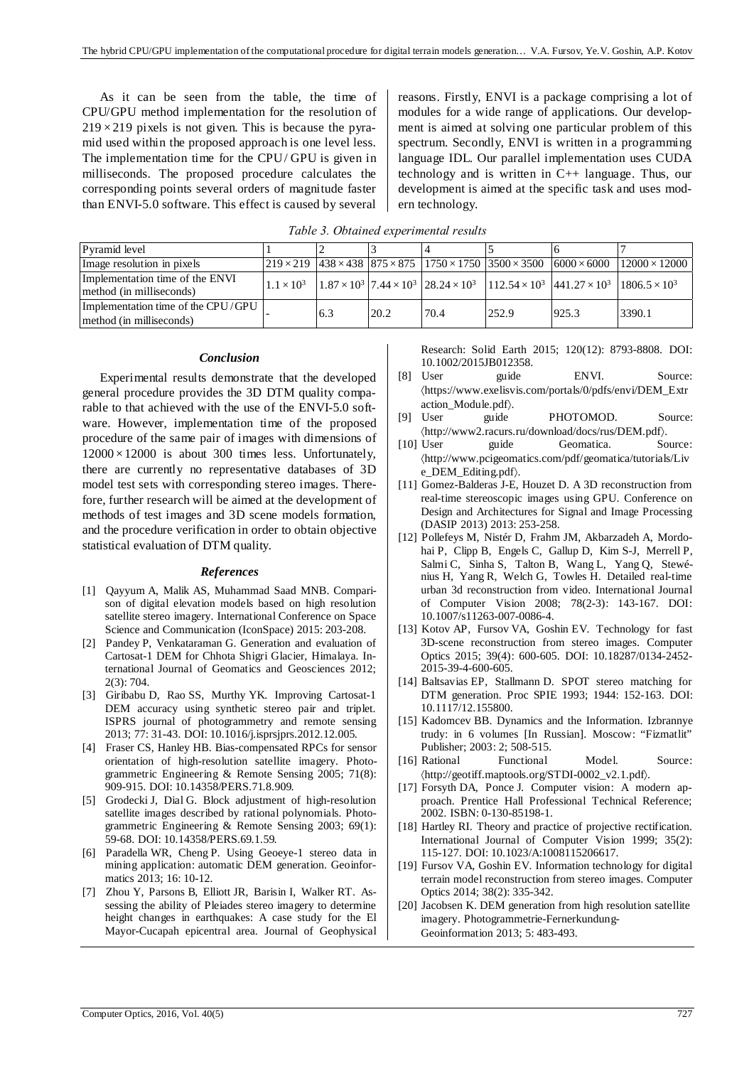As it can be seen from the table, the time of CPU/GPU method implementation for the resolution of  $219 \times 219$  pixels is not given. This is because the pyramid used within the proposed approach is one level less. The implementation time for the CPU/ GPU is given in milliseconds. The proposed procedure calculates the corresponding points several orders of magnitude faster than ENVI-5.0 software. This effect is caused by several

reasons. Firstly, ENVI is a package comprising a lot of modules for a wide range of applications. Our development is aimed at solving one particular problem of this spectrum. Secondly, ENVI is written in a programming language IDL. Our parallel implementation uses CUDA technology and is written in C++ language. Thus, our development is aimed at the specific task and uses modern technology.

|  | Table 3. Obtained experimental results |  |
|--|----------------------------------------|--|
|  |                                        |  |

| Pyramid level                                                  |                   |     |      |      |                                                                                                                                                                                                 |                                                                                                                                                                                 |                      |
|----------------------------------------------------------------|-------------------|-----|------|------|-------------------------------------------------------------------------------------------------------------------------------------------------------------------------------------------------|---------------------------------------------------------------------------------------------------------------------------------------------------------------------------------|----------------------|
| Image resolution in pixels                                     |                   |     |      |      | $\left[219 \times 219 \right]$ $\left[438 \times 438 \right]$ $\left[875 \times 875 \right]$ $\left[1750 \times 1750 \right]$ $\left[3500 \times 3500 \right]$ $\left[6000 \times 6000 \right]$ |                                                                                                                                                                                 | $12000 \times 12000$ |
| Implementation time of the ENVI<br>method (in milliseconds)    | $1.1 \times 10^3$ |     |      |      |                                                                                                                                                                                                 | $1.87 \times 10^3$ 7.44 $\times$ 10 <sup>3</sup> 28.24 $\times$ 10 <sup>3</sup> 112.54 $\times$ 10 <sup>3</sup> 441.27 $\times$ 10 <sup>3</sup> 1806.5 $\times$ 10 <sup>3</sup> |                      |
| Implementation time of the CPU/GPU<br>method (in milliseconds) |                   | 6.3 | 20.2 | 70.4 | 252.9                                                                                                                                                                                           | 925.3                                                                                                                                                                           | 3390.1               |

### *Conclusion*

Experimental results demonstrate that the developed general procedure provides the 3D DTM quality comparable to that achieved with the use of the ENVI-5.0 software. However, implementation time of the proposed procedure of the same pair of images with dimensions of  $12000 \times 12000$  is about 300 times less. Unfortunately, there are currently no representative databases of 3D model test sets with corresponding stereo images. Therefore, further research will be aimed at the development of methods of test images and 3D scene models formation, and the procedure verification in order to obtain objective statistical evaluation of DTM quality.

### *References*

- [1] Qayyum A, Malik AS, Muhammad Saad MNB. Comparison of digital elevation models based on high resolution satellite stereo imagery. International Conference on Space Science and Communication (IconSpace) 2015: 203-208.
- [2] Pandey P, Venkataraman G. Generation and evaluation of Cartosat-1 DEM for Chhota Shigri Glacier, Himalaya. International Journal of Geomatics and Geosciences 2012; 2(3): 704.
- [3] Giribabu D, Rao SS, Murthy YK. Improving Cartosat-1 DEM accuracy using synthetic stereo pair and triplet. ISPRS journal of photogrammetry and remote sensing 2013; 77: 31-43. DOI: 10.1016/j.isprsjprs.2012.12.005.
- [4] Fraser CS, Hanley HB. Bias-compensated RPCs for sensor orientation of high-resolution satellite imagery. Photogrammetric Engineering & Remote Sensing 2005; 71(8): 909-915. DOI: 10.14358/PERS.71.8.909.
- [5] Grodecki J, Dial G. Block adjustment of high-resolution satellite images described by rational polynomials. Photogrammetric Engineering & Remote Sensing 2003; 69(1): 59-68. DOI: 10.14358/PERS.69.1.59.
- [6] Paradella WR, Cheng P. Using Geoeye-1 stereo data in mining application: automatic DEM generation. Geoinformatics 2013; 16: 10-12.
- [7] Zhou Y, Parsons B, Elliott JR, Barisin I, Walker RT. Assessing the ability of Pleiades stereo imagery to determine height changes in earthquakes: A case study for the El Mayor-Cucapah epicentral area. Journal of Geophysical

Research: Solid Earth 2015; 120(12): 8793-8808. DOI: 10.1002/2015JB012358.

- [8] User guide ENVI. Source: https://www.exelisvis.com/portals/0/pdfs/envi/DEM\_Extr action\_Module.pdf).
- [9] User guide PHOTOMOD. Source: http://www2.racurs.ru/download/docs/rus/DEM.pdf.
- [10] User guide Geomatica. Source: http://www.pcigeomatics.com/pdf/geomatica/tutorials/Liv e\_DEM\_Editing.pdf).
- [11] Gomez-Balderas J-E, Houzet D. A 3D reconstruction from real-time stereoscopic images using GPU. Conference on Design and Architectures for Signal and Image Processing (DASIP 2013) 2013: 253-258.
- [12] Pollefeys M, Nistér D, Frahm JM, Akbarzadeh A, Mordohai P, Clipp B, Engels C, Gallup D, Kim S-J, Merrell P, Salmi C, Sinha S, Talton B, Wang L, Yang Q, Stewénius H, Yang R, Welch G, Towles H. Detailed real-time urban 3d reconstruction from video. International Journal of Computer Vision 2008; 78(2-3): 143-167. DOI: 10.1007/s11263-007-0086-4.
- [13] Kotov AP, Fursov VA, Goshin EV. Technology for fast 3D-scene reconstruction from stereo images. Computer Optics 2015; 39(4): 600-605. DOI: 10.18287/0134-2452- 2015-39-4-600-605.
- [14] Baltsavias EP, Stallmann D. SPOT stereo matching for DTM generation. Proc SPIE 1993; 1944: 152-163. DOI: 10.1117/12.155800.
- [15] Kadomcev BB. Dynamics and the Information. Izbrannye trudy: in 6 volumes [In Russian]. Moscow: "Fizmatlit" Publisher; 2003: 2; 508-515.
- [16] Rational Functional Model. Source: http://geotiff.maptools.org/STDI-0002\_v2.1.pdf.
- [17] Forsyth DA, Ponce J. Computer vision: A modern approach. Prentice Hall Professional Technical Reference; 2002. ISBN: 0-130-85198-1.
- [18] Hartley RI. Theory and practice of projective rectification. International Journal of Computer Vision 1999; 35(2): 115-127. DOI: 10.1023/A:1008115206617.
- [19] Fursov VA, Goshin EV. Information technology for digital terrain model reconstruction from stereo images. Computer Optics 2014; 38(2): 335-342.
- [20] Jacobsen K. DEM generation from high resolution satellite imagery. Photogrammetrie-Fernerkundung-Geoinformation 2013; 5: 483-493.